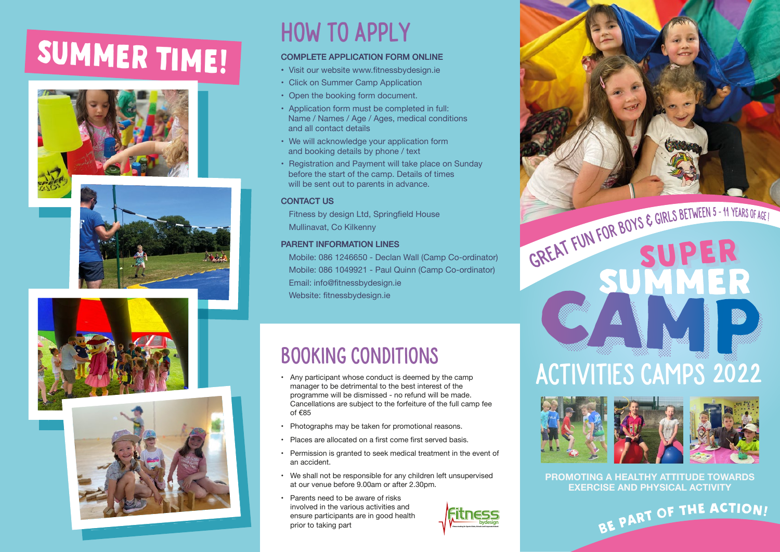# SUMMER TIME! COMPLETE APPLICATION FORM ONLINE









## How to apply

- Visit our website www.fitnessbydesign.ie •
- Click on Summer Camp Application
- Open the booking form document.
- Application form must be completed in full: Name / Names / Age / Ages, medical conditions and all contact details
- We will acknowledge your application form and booking details by phone / text
- Registration and Payment will take place on Sunday before the start of the camp. Details of times will be sent out to parents in advance.

### **CONTACT US**

 Fitness by design Ltd, Springfield House Mullinavat, Co Kilkenny

### PARENT INFORMATION LINES

 Mobile: 086 1246650 - Declan Wall (Camp Co-ordinator) Mobile: 086 1049921 - Paul Quinn (Camp Co-ordinator) Email: info@fitnessbydesign.ie Website: fitnessbydesign.ie

### Booking Conditions

- Any participant whose conduct is deemed by the camp manager to be detrimental to the best interest of the programme will be dismissed - no refund will be made. Cancellations are subject to the forfeiture of the full camp fee of €85
- Photographs may be taken for promotional reasons.
- Places are allocated on a first come first served basis.
- Permission is granted to seek medical treatment in the event of an accident.
- We shall not be responsible for any children left unsupervised at our venue before 9.00am or after 2.30pm.
- Parents need to be aware of risks involved in the various activities and ensure participants are in good health<br>prior to taking part



# GREAT FUN FOR BOYS & GIRLS BETWEEN 5 - 11 YEARS OF AGE!

# **ACTIVITIES CAMPS 2022**



**PROMOTING A HEALTHY ATTITUDE TOWARDS EXERCISE AND PHYSICAL ACTIVITY**